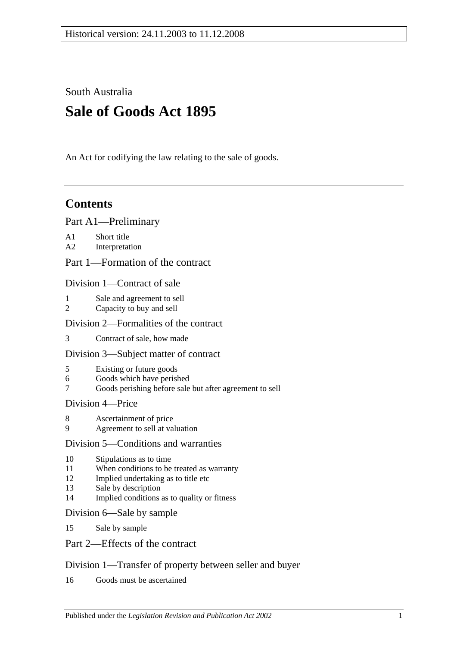South Australia

# **Sale of Goods Act 1895**

An Act for codifying the law relating to the sale of goods.

## **Contents**

[Part A1—Preliminary](#page-2-0)

A1 [Short title](#page-2-1)

A2 [Interpretation](#page-2-2)

[Part 1—Formation of the contract](#page-3-0)

[Division 1—Contract of sale](#page-3-1)

- 1 [Sale and agreement to sell](#page-3-2)
- 2 [Capacity to buy and sell](#page-3-3)

[Division 2—Formalities of the contract](#page-4-0)

3 [Contract of sale, how made](#page-4-1)

#### [Division 3—Subject matter of contract](#page-4-2)

- 5 [Existing or future goods](#page-4-3)
- 6 [Goods which have perished](#page-4-4)
- 7 [Goods perishing before sale but after agreement to sell](#page-4-5)

#### [Division 4—Price](#page-4-6)

- 8 [Ascertainment of price](#page-4-7)
- 9 [Agreement to sell at valuation](#page-4-8)

#### [Division 5—Conditions and warranties](#page-5-0)

- 10 [Stipulations as to time](#page-5-1)<br>11 When conditions to be
- [When conditions to be treated as warranty](#page-5-2)
- 12 [Implied undertaking as to title etc](#page-5-3)
- 13 [Sale by description](#page-6-0)
- 14 [Implied conditions as to quality or fitness](#page-6-1)

#### [Division 6—Sale by sample](#page-6-2)

15 [Sale by sample](#page-6-3)

### [Part 2—Effects of the contract](#page-7-0)

#### [Division 1—Transfer of property between seller and buyer](#page-7-1)

16 [Goods must be ascertained](#page-7-2)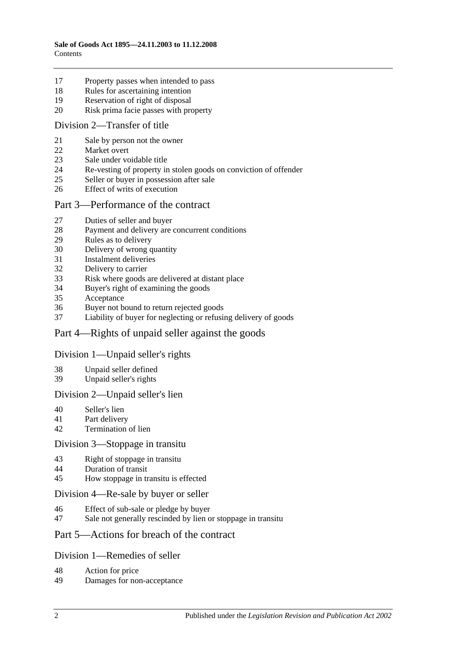- [Property passes when intended to pass](#page-7-3)
- [Rules for ascertaining intention](#page-7-4)
- [Reservation of right of disposal](#page-8-0)
- [Risk prima facie passes with property](#page-8-1)

#### [Division 2—Transfer of title](#page-9-0)

- [Sale by person not the owner](#page-9-1)<br>22 Market overt
- [Market overt](#page-9-2)
- [Sale under voidable title](#page-9-3)
- [Re-vesting of property in stolen goods on conviction of offender](#page-9-4)
- [Seller or buyer in possession after sale](#page-9-5)
- [Effect of writs of execution](#page-10-0)

#### [Part 3—Performance of the contract](#page-10-1)

- [Duties of seller and buyer](#page-10-2)
- [Payment and delivery are concurrent conditions](#page-10-3)
- [Rules as to delivery](#page-11-0)
- [Delivery of wrong quantity](#page-11-1)
- [Instalment deliveries](#page-11-2)
- [Delivery to carrier](#page-12-0)
- [Risk where goods are delivered at distant place](#page-12-1)
- [Buyer's right of examining the goods](#page-12-2)
- [Acceptance](#page-13-0)
- [Buyer not bound to return rejected goods](#page-13-1)
- [Liability of buyer for neglecting or refusing delivery of goods](#page-13-2)

#### [Part 4—Rights of unpaid seller against the goods](#page-13-3)

#### [Division 1—Unpaid seller's rights](#page-13-4)

- [Unpaid seller defined](#page-13-5)
- [Unpaid seller's rights](#page-13-6)

#### [Division 2—Unpaid seller's lien](#page-14-0)

- [Seller's lien](#page-14-1)
- [Part delivery](#page-14-2)
- [Termination of lien](#page-14-3)

#### [Division 3—Stoppage in transitu](#page-14-4)

- [Right of stoppage in transitu](#page-14-5)
- [Duration of transit](#page-15-0)
- [How stoppage in transitu is effected](#page-15-1)

#### [Division 4—Re-sale by buyer or seller](#page-16-0)

- [Effect of sub-sale or pledge by buyer](#page-16-1)
- [Sale not generally rescinded by lien or stoppage in transitu](#page-16-2)

#### [Part 5—Actions for breach of the contract](#page-16-3)

#### [Division 1—Remedies of seller](#page-16-4)

- [Action for price](#page-16-5)
- [Damages for non-acceptance](#page-16-6)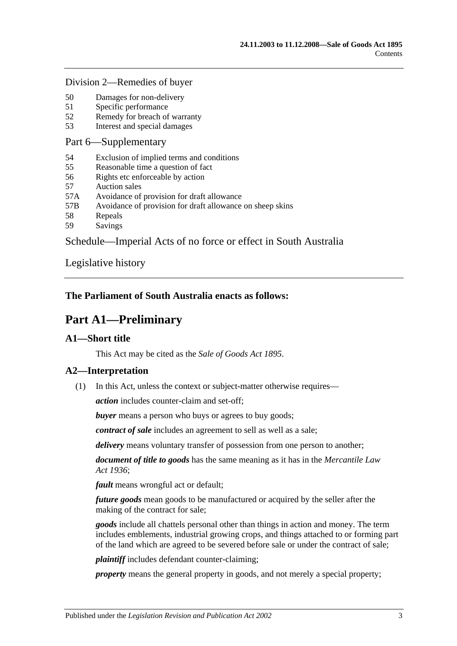#### [Division 2—Remedies of buyer](#page-17-0)

- 50 [Damages for non-delivery](#page-17-1)
- 51 [Specific performance](#page-17-2)
- 52 [Remedy for breach](#page-17-3) of warranty
- 53 [Interest and special damages](#page-18-0)

#### [Part 6—Supplementary](#page-18-1)

- 54 [Exclusion of implied terms and conditions](#page-18-2)
- 55 [Reasonable time a question of fact](#page-18-3)
- 56 [Rights etc enforceable by action](#page-18-4)
- 57 [Auction sales](#page-18-5)
- 57A [Avoidance of provision for draft allowance](#page-18-6)
- 57B [Avoidance of provision for draft allowance on sheep skins](#page-19-0)
- 58 [Repeals](#page-19-1)
- 59 [Savings](#page-19-2)

### [Schedule—Imperial Acts of no force or effect in South Australia](#page-19-3)

### [Legislative history](#page-20-0)

### <span id="page-2-0"></span>**The Parliament of South Australia enacts as follows:**

## **Part A1—Preliminary**

#### <span id="page-2-1"></span>**A1—Short title**

This Act may be cited as the *Sale of Goods Act 1895*.

#### <span id="page-2-2"></span>**A2—Interpretation**

(1) In this Act, unless the context or subject-matter otherwise requires—

*action* includes counter-claim and set-off;

**buyer** means a person who buys or agrees to buy goods;

*contract of sale* includes an agreement to sell as well as a sale;

*delivery* means voluntary transfer of possession from one person to another;

*document of title to goods* has the same meaning as it has in the *[Mercantile Law](http://www.legislation.sa.gov.au/index.aspx?action=legref&type=act&legtitle=Mercantile%20Law%20Act%201936)  Act [1936](http://www.legislation.sa.gov.au/index.aspx?action=legref&type=act&legtitle=Mercantile%20Law%20Act%201936)*;

*fault* means wrongful act or default;

*future goods* mean goods to be manufactured or acquired by the seller after the making of the contract for sale;

*goods* include all chattels personal other than things in action and money. The term includes emblements, industrial growing crops, and things attached to or forming part of the land which are agreed to be severed before sale or under the contract of sale;

*plaintiff* includes defendant counter-claiming;

*property* means the general property in goods, and not merely a special property;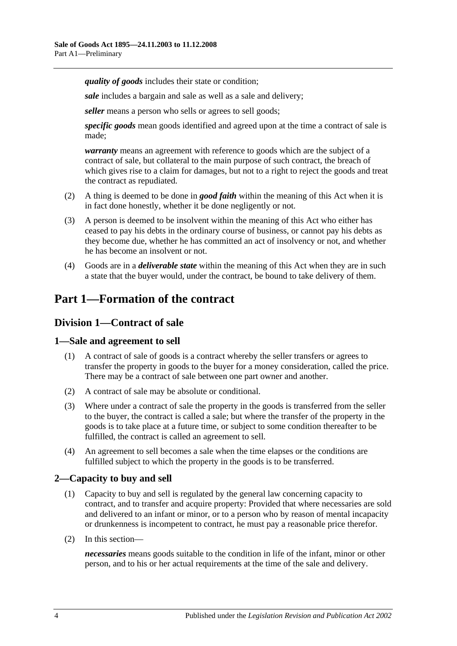*quality of goods* includes their state or condition;

*sale* includes a bargain and sale as well as a sale and delivery;

*seller* means a person who sells or agrees to sell goods;

*specific goods* mean goods identified and agreed upon at the time a contract of sale is made;

*warranty* means an agreement with reference to goods which are the subject of a contract of sale, but collateral to the main purpose of such contract, the breach of which gives rise to a claim for damages, but not to a right to reject the goods and treat the contract as repudiated.

- (2) A thing is deemed to be done in *good faith* within the meaning of this Act when it is in fact done honestly, whether it be done negligently or not.
- (3) A person is deemed to be insolvent within the meaning of this Act who either has ceased to pay his debts in the ordinary course of business, or cannot pay his debts as they become due, whether he has committed an act of insolvency or not, and whether he has become an insolvent or not.
- (4) Goods are in a *deliverable state* within the meaning of this Act when they are in such a state that the buyer would, under the contract, be bound to take delivery of them.

## <span id="page-3-1"></span><span id="page-3-0"></span>**Part 1—Formation of the contract**

## **Division 1—Contract of sale**

#### <span id="page-3-2"></span>**1—Sale and agreement to sell**

- (1) A contract of sale of goods is a contract whereby the seller transfers or agrees to transfer the property in goods to the buyer for a money consideration, called the price. There may be a contract of sale between one part owner and another.
- (2) A contract of sale may be absolute or conditional.
- (3) Where under a contract of sale the property in the goods is transferred from the seller to the buyer, the contract is called a sale; but where the transfer of the property in the goods is to take place at a future time, or subject to some condition thereafter to be fulfilled, the contract is called an agreement to sell.
- (4) An agreement to sell becomes a sale when the time elapses or the conditions are fulfilled subject to which the property in the goods is to be transferred.

### <span id="page-3-3"></span>**2—Capacity to buy and sell**

- (1) Capacity to buy and sell is regulated by the general law concerning capacity to contract, and to transfer and acquire property: Provided that where necessaries are sold and delivered to an infant or minor, or to a person who by reason of mental incapacity or drunkenness is incompetent to contract, he must pay a reasonable price therefor.
- (2) In this section—

*necessaries* means goods suitable to the condition in life of the infant, minor or other person, and to his or her actual requirements at the time of the sale and delivery.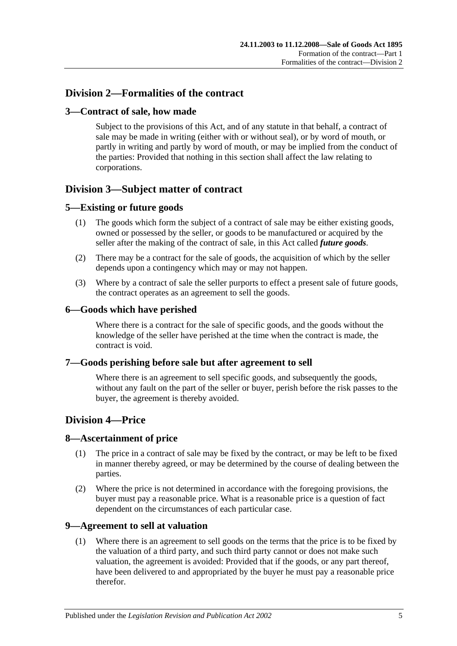## <span id="page-4-0"></span>**Division 2—Formalities of the contract**

#### <span id="page-4-1"></span>**3—Contract of sale, how made**

Subject to the provisions of this Act, and of any statute in that behalf, a contract of sale may be made in writing (either with or without seal), or by word of mouth, or partly in writing and partly by word of mouth, or may be implied from the conduct of the parties: Provided that nothing in this section shall affect the law relating to corporations.

### <span id="page-4-2"></span>**Division 3—Subject matter of contract**

#### <span id="page-4-3"></span>**5—Existing or future goods**

- (1) The goods which form the subject of a contract of sale may be either existing goods, owned or possessed by the seller, or goods to be manufactured or acquired by the seller after the making of the contract of sale, in this Act called *future goods*.
- (2) There may be a contract for the sale of goods, the acquisition of which by the seller depends upon a contingency which may or may not happen.
- (3) Where by a contract of sale the seller purports to effect a present sale of future goods, the contract operates as an agreement to sell the goods.

#### <span id="page-4-4"></span>**6—Goods which have perished**

Where there is a contract for the sale of specific goods, and the goods without the knowledge of the seller have perished at the time when the contract is made, the contract is void.

#### <span id="page-4-5"></span>**7—Goods perishing before sale but after agreement to sell**

Where there is an agreement to sell specific goods, and subsequently the goods, without any fault on the part of the seller or buyer, perish before the risk passes to the buyer, the agreement is thereby avoided.

### <span id="page-4-6"></span>**Division 4—Price**

#### <span id="page-4-7"></span>**8—Ascertainment of price**

- (1) The price in a contract of sale may be fixed by the contract, or may be left to be fixed in manner thereby agreed, or may be determined by the course of dealing between the parties.
- (2) Where the price is not determined in accordance with the foregoing provisions, the buyer must pay a reasonable price. What is a reasonable price is a question of fact dependent on the circumstances of each particular case.

#### <span id="page-4-8"></span>**9—Agreement to sell at valuation**

(1) Where there is an agreement to sell goods on the terms that the price is to be fixed by the valuation of a third party, and such third party cannot or does not make such valuation, the agreement is avoided: Provided that if the goods, or any part thereof, have been delivered to and appropriated by the buyer he must pay a reasonable price therefor.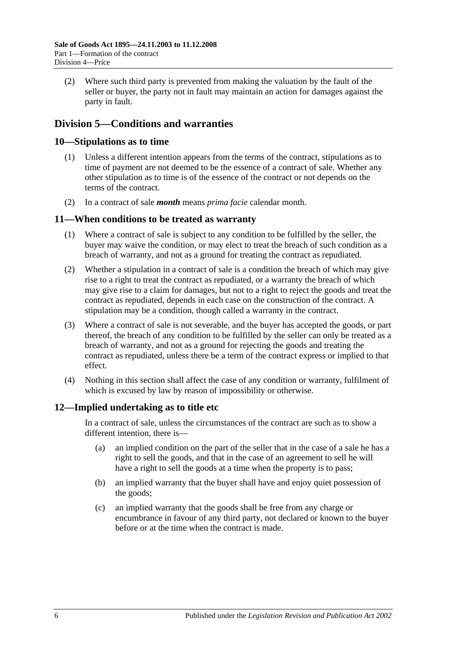(2) Where such third party is prevented from making the valuation by the fault of the seller or buyer, the party not in fault may maintain an action for damages against the party in fault.

## <span id="page-5-0"></span>**Division 5—Conditions and warranties**

#### <span id="page-5-1"></span>**10—Stipulations as to time**

- (1) Unless a different intention appears from the terms of the contract, stipulations as to time of payment are not deemed to be the essence of a contract of sale. Whether any other stipulation as to time is of the essence of the contract or not depends on the terms of the contract.
- (2) In a contract of sale *month* means *prima facie* calendar month.

#### <span id="page-5-2"></span>**11—When conditions to be treated as warranty**

- (1) Where a contract of sale is subject to any condition to be fulfilled by the seller, the buyer may waive the condition, or may elect to treat the breach of such condition as a breach of warranty, and not as a ground for treating the contract as repudiated.
- (2) Whether a stipulation in a contract of sale is a condition the breach of which may give rise to a right to treat the contract as repudiated, or a warranty the breach of which may give rise to a claim for damages, but not to a right to reject the goods and treat the contract as repudiated, depends in each case on the construction of the contract. A stipulation may be a condition, though called a warranty in the contract.
- (3) Where a contract of sale is not severable, and the buyer has accepted the goods, or part thereof, the breach of any condition to be fulfilled by the seller can only be treated as a breach of warranty, and not as a ground for rejecting the goods and treating the contract as repudiated, unless there be a term of the contract express or implied to that effect.
- (4) Nothing in this section shall affect the case of any condition or warranty, fulfilment of which is excused by law by reason of impossibility or otherwise.

#### <span id="page-5-3"></span>**12—Implied undertaking as to title etc**

In a contract of sale, unless the circumstances of the contract are such as to show a different intention, there is—

- (a) an implied condition on the part of the seller that in the case of a sale he has a right to sell the goods, and that in the case of an agreement to sell he will have a right to sell the goods at a time when the property is to pass;
- (b) an implied warranty that the buyer shall have and enjoy quiet possession of the goods;
- (c) an implied warranty that the goods shall be free from any charge or encumbrance in favour of any third party, not declared or known to the buyer before or at the time when the contract is made.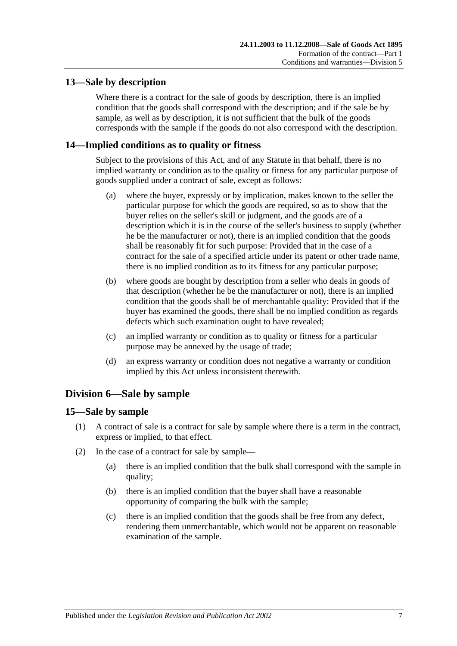### <span id="page-6-0"></span>**13—Sale by description**

Where there is a contract for the sale of goods by description, there is an implied condition that the goods shall correspond with the description; and if the sale be by sample, as well as by description, it is not sufficient that the bulk of the goods corresponds with the sample if the goods do not also correspond with the description.

### <span id="page-6-1"></span>**14—Implied conditions as to quality or fitness**

Subject to the provisions of this Act, and of any Statute in that behalf, there is no implied warranty or condition as to the quality or fitness for any particular purpose of goods supplied under a contract of sale, except as follows:

- (a) where the buyer, expressly or by implication, makes known to the seller the particular purpose for which the goods are required, so as to show that the buyer relies on the seller's skill or judgment, and the goods are of a description which it is in the course of the seller's business to supply (whether he be the manufacturer or not), there is an implied condition that the goods shall be reasonably fit for such purpose: Provided that in the case of a contract for the sale of a specified article under its patent or other trade name, there is no implied condition as to its fitness for any particular purpose;
- (b) where goods are bought by description from a seller who deals in goods of that description (whether he be the manufacturer or not), there is an implied condition that the goods shall be of merchantable quality: Provided that if the buyer has examined the goods, there shall be no implied condition as regards defects which such examination ought to have revealed;
- (c) an implied warranty or condition as to quality or fitness for a particular purpose may be annexed by the usage of trade;
- (d) an express warranty or condition does not negative a warranty or condition implied by this Act unless inconsistent therewith.

## <span id="page-6-2"></span>**Division 6—Sale by sample**

#### <span id="page-6-3"></span>**15—Sale by sample**

- (1) A contract of sale is a contract for sale by sample where there is a term in the contract, express or implied, to that effect.
- (2) In the case of a contract for sale by sample—
	- (a) there is an implied condition that the bulk shall correspond with the sample in quality;
	- (b) there is an implied condition that the buyer shall have a reasonable opportunity of comparing the bulk with the sample;
	- (c) there is an implied condition that the goods shall be free from any defect, rendering them unmerchantable, which would not be apparent on reasonable examination of the sample.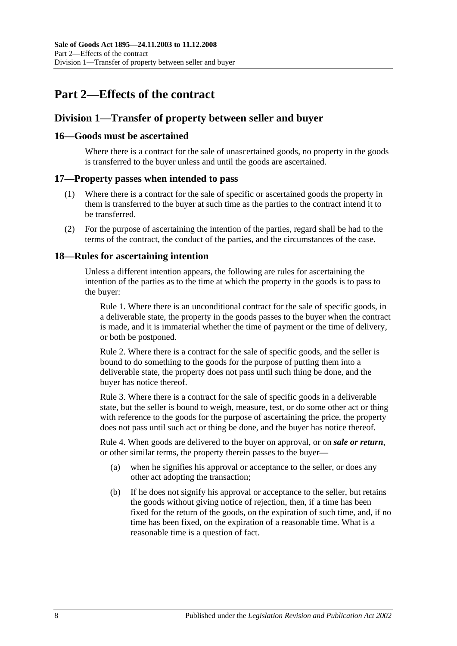## <span id="page-7-0"></span>**Part 2—Effects of the contract**

## <span id="page-7-1"></span>**Division 1—Transfer of property between seller and buyer**

#### <span id="page-7-2"></span>**16—Goods must be ascertained**

Where there is a contract for the sale of unascertained goods, no property in the goods is transferred to the buyer unless and until the goods are ascertained.

#### <span id="page-7-3"></span>**17—Property passes when intended to pass**

- (1) Where there is a contract for the sale of specific or ascertained goods the property in them is transferred to the buyer at such time as the parties to the contract intend it to be transferred.
- (2) For the purpose of ascertaining the intention of the parties, regard shall be had to the terms of the contract, the conduct of the parties, and the circumstances of the case.

#### <span id="page-7-4"></span>**18—Rules for ascertaining intention**

Unless a different intention appears, the following are rules for ascertaining the intention of the parties as to the time at which the property in the goods is to pass to the buyer:

Rule 1. Where there is an unconditional contract for the sale of specific goods, in a deliverable state, the property in the goods passes to the buyer when the contract is made, and it is immaterial whether the time of payment or the time of delivery, or both be postponed.

Rule 2. Where there is a contract for the sale of specific goods, and the seller is bound to do something to the goods for the purpose of putting them into a deliverable state, the property does not pass until such thing be done, and the buyer has notice thereof.

Rule 3. Where there is a contract for the sale of specific goods in a deliverable state, but the seller is bound to weigh, measure, test, or do some other act or thing with reference to the goods for the purpose of ascertaining the price, the property does not pass until such act or thing be done, and the buyer has notice thereof.

Rule 4. When goods are delivered to the buyer on approval, or on *sale or return*, or other similar terms, the property therein passes to the buyer—

- (a) when he signifies his approval or acceptance to the seller, or does any other act adopting the transaction;
- (b) If he does not signify his approval or acceptance to the seller, but retains the goods without giving notice of rejection, then, if a time has been fixed for the return of the goods, on the expiration of such time, and, if no time has been fixed, on the expiration of a reasonable time. What is a reasonable time is a question of fact.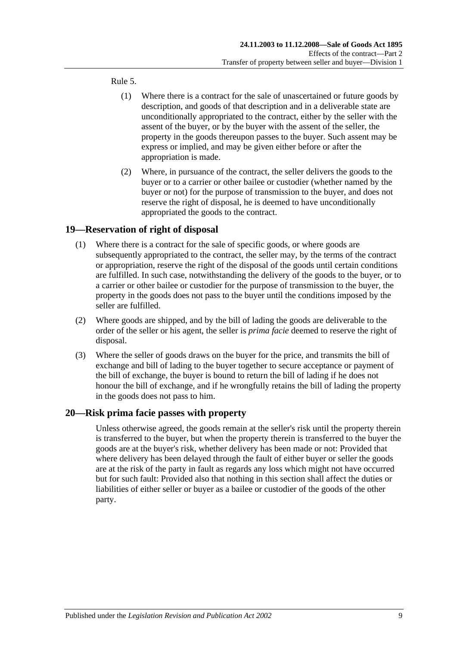Rule 5.

- (1) Where there is a contract for the sale of unascertained or future goods by description, and goods of that description and in a deliverable state are unconditionally appropriated to the contract, either by the seller with the assent of the buyer, or by the buyer with the assent of the seller, the property in the goods thereupon passes to the buyer. Such assent may be express or implied, and may be given either before or after the appropriation is made.
- (2) Where, in pursuance of the contract, the seller delivers the goods to the buyer or to a carrier or other bailee or custodier (whether named by the buyer or not) for the purpose of transmission to the buyer, and does not reserve the right of disposal, he is deemed to have unconditionally appropriated the goods to the contract.

### <span id="page-8-0"></span>**19—Reservation of right of disposal**

- (1) Where there is a contract for the sale of specific goods, or where goods are subsequently appropriated to the contract, the seller may, by the terms of the contract or appropriation, reserve the right of the disposal of the goods until certain conditions are fulfilled. In such case, notwithstanding the delivery of the goods to the buyer, or to a carrier or other bailee or custodier for the purpose of transmission to the buyer, the property in the goods does not pass to the buyer until the conditions imposed by the seller are fulfilled.
- (2) Where goods are shipped, and by the bill of lading the goods are deliverable to the order of the seller or his agent, the seller is *prima facie* deemed to reserve the right of disposal.
- (3) Where the seller of goods draws on the buyer for the price, and transmits the bill of exchange and bill of lading to the buyer together to secure acceptance or payment of the bill of exchange, the buyer is bound to return the bill of lading if he does not honour the bill of exchange, and if he wrongfully retains the bill of lading the property in the goods does not pass to him.

#### <span id="page-8-1"></span>**20—Risk prima facie passes with property**

Unless otherwise agreed, the goods remain at the seller's risk until the property therein is transferred to the buyer, but when the property therein is transferred to the buyer the goods are at the buyer's risk, whether delivery has been made or not: Provided that where delivery has been delayed through the fault of either buyer or seller the goods are at the risk of the party in fault as regards any loss which might not have occurred but for such fault: Provided also that nothing in this section shall affect the duties or liabilities of either seller or buyer as a bailee or custodier of the goods of the other party.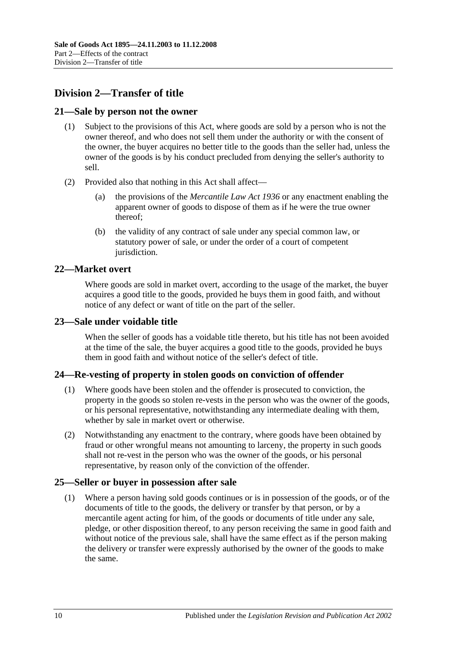## <span id="page-9-0"></span>**Division 2—Transfer of title**

#### <span id="page-9-1"></span>**21—Sale by person not the owner**

- (1) Subject to the provisions of this Act, where goods are sold by a person who is not the owner thereof, and who does not sell them under the authority or with the consent of the owner, the buyer acquires no better title to the goods than the seller had, unless the owner of the goods is by his conduct precluded from denying the seller's authority to sell.
- (2) Provided also that nothing in this Act shall affect—
	- (a) the provisions of the *[Mercantile Law Act](http://www.legislation.sa.gov.au/index.aspx?action=legref&type=act&legtitle=Mercantile%20Law%20Act%201936) 1936* or any enactment enabling the apparent owner of goods to dispose of them as if he were the true owner thereof;
	- (b) the validity of any contract of sale under any special common law, or statutory power of sale, or under the order of a court of competent jurisdiction.

#### <span id="page-9-2"></span>**22—Market overt**

Where goods are sold in market overt, according to the usage of the market, the buyer acquires a good title to the goods, provided he buys them in good faith, and without notice of any defect or want of title on the part of the seller.

#### <span id="page-9-3"></span>**23—Sale under voidable title**

When the seller of goods has a voidable title thereto, but his title has not been avoided at the time of the sale, the buyer acquires a good title to the goods, provided he buys them in good faith and without notice of the seller's defect of title.

#### <span id="page-9-4"></span>**24—Re-vesting of property in stolen goods on conviction of offender**

- (1) Where goods have been stolen and the offender is prosecuted to conviction, the property in the goods so stolen re-vests in the person who was the owner of the goods, or his personal representative, notwithstanding any intermediate dealing with them, whether by sale in market overt or otherwise.
- (2) Notwithstanding any enactment to the contrary, where goods have been obtained by fraud or other wrongful means not amounting to larceny, the property in such goods shall not re-vest in the person who was the owner of the goods, or his personal representative, by reason only of the conviction of the offender.

#### <span id="page-9-5"></span>**25—Seller or buyer in possession after sale**

(1) Where a person having sold goods continues or is in possession of the goods, or of the documents of title to the goods, the delivery or transfer by that person, or by a mercantile agent acting for him, of the goods or documents of title under any sale, pledge, or other disposition thereof, to any person receiving the same in good faith and without notice of the previous sale, shall have the same effect as if the person making the delivery or transfer were expressly authorised by the owner of the goods to make the same.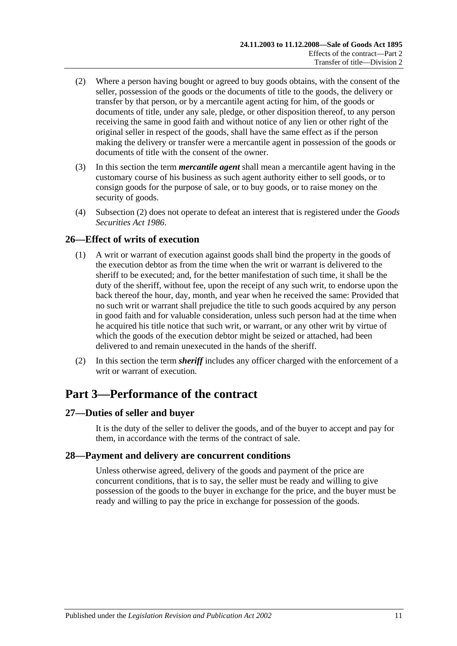- <span id="page-10-4"></span>(2) Where a person having bought or agreed to buy goods obtains, with the consent of the seller, possession of the goods or the documents of title to the goods, the delivery or transfer by that person, or by a mercantile agent acting for him, of the goods or documents of title, under any sale, pledge, or other disposition thereof, to any person receiving the same in good faith and without notice of any lien or other right of the original seller in respect of the goods, shall have the same effect as if the person making the delivery or transfer were a mercantile agent in possession of the goods or documents of title with the consent of the owner.
- (3) In this section the term *mercantile agent* shall mean a mercantile agent having in the customary course of his business as such agent authority either to sell goods, or to consign goods for the purpose of sale, or to buy goods, or to raise money on the security of goods.
- (4) [Subsection](#page-10-4) (2) does not operate to defeat an interest that is registered under the *[Goods](http://www.legislation.sa.gov.au/index.aspx?action=legref&type=act&legtitle=Goods%20Securities%20Act%201986)  [Securities Act](http://www.legislation.sa.gov.au/index.aspx?action=legref&type=act&legtitle=Goods%20Securities%20Act%201986) 1986*.

#### <span id="page-10-0"></span>**26—Effect of writs of execution**

- (1) A writ or warrant of execution against goods shall bind the property in the goods of the execution debtor as from the time when the writ or warrant is delivered to the sheriff to be executed; and, for the better manifestation of such time, it shall be the duty of the sheriff, without fee, upon the receipt of any such writ, to endorse upon the back thereof the hour, day, month, and year when he received the same: Provided that no such writ or warrant shall prejudice the title to such goods acquired by any person in good faith and for valuable consideration, unless such person had at the time when he acquired his title notice that such writ, or warrant, or any other writ by virtue of which the goods of the execution debtor might be seized or attached, had been delivered to and remain unexecuted in the hands of the sheriff.
- (2) In this section the term *sheriff* includes any officer charged with the enforcement of a writ or warrant of execution.

## <span id="page-10-1"></span>**Part 3—Performance of the contract**

#### <span id="page-10-2"></span>**27—Duties of seller and buyer**

It is the duty of the seller to deliver the goods, and of the buyer to accept and pay for them, in accordance with the terms of the contract of sale.

#### <span id="page-10-3"></span>**28—Payment and delivery are concurrent conditions**

Unless otherwise agreed, delivery of the goods and payment of the price are concurrent conditions, that is to say, the seller must be ready and willing to give possession of the goods to the buyer in exchange for the price, and the buyer must be ready and willing to pay the price in exchange for possession of the goods.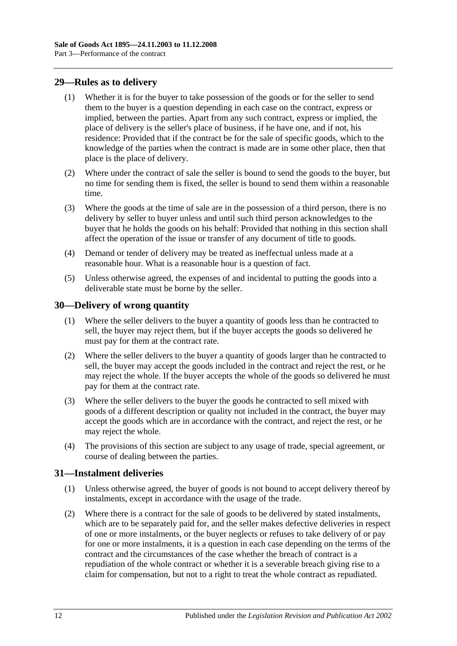#### <span id="page-11-0"></span>**29—Rules as to delivery**

- (1) Whether it is for the buyer to take possession of the goods or for the seller to send them to the buyer is a question depending in each case on the contract, express or implied, between the parties. Apart from any such contract, express or implied, the place of delivery is the seller's place of business, if he have one, and if not, his residence: Provided that if the contract be for the sale of specific goods, which to the knowledge of the parties when the contract is made are in some other place, then that place is the place of delivery.
- (2) Where under the contract of sale the seller is bound to send the goods to the buyer, but no time for sending them is fixed, the seller is bound to send them within a reasonable time.
- (3) Where the goods at the time of sale are in the possession of a third person, there is no delivery by seller to buyer unless and until such third person acknowledges to the buyer that he holds the goods on his behalf: Provided that nothing in this section shall affect the operation of the issue or transfer of any document of title to goods.
- (4) Demand or tender of delivery may be treated as ineffectual unless made at a reasonable hour. What is a reasonable hour is a question of fact.
- (5) Unless otherwise agreed, the expenses of and incidental to putting the goods into a deliverable state must be borne by the seller.

#### <span id="page-11-1"></span>**30—Delivery of wrong quantity**

- (1) Where the seller delivers to the buyer a quantity of goods less than he contracted to sell, the buyer may reject them, but if the buyer accepts the goods so delivered he must pay for them at the contract rate.
- (2) Where the seller delivers to the buyer a quantity of goods larger than he contracted to sell, the buyer may accept the goods included in the contract and reject the rest, or he may reject the whole. If the buyer accepts the whole of the goods so delivered he must pay for them at the contract rate.
- (3) Where the seller delivers to the buyer the goods he contracted to sell mixed with goods of a different description or quality not included in the contract, the buyer may accept the goods which are in accordance with the contract, and reject the rest, or he may reject the whole.
- (4) The provisions of this section are subject to any usage of trade, special agreement, or course of dealing between the parties.

#### <span id="page-11-2"></span>**31—Instalment deliveries**

- (1) Unless otherwise agreed, the buyer of goods is not bound to accept delivery thereof by instalments, except in accordance with the usage of the trade.
- (2) Where there is a contract for the sale of goods to be delivered by stated instalments, which are to be separately paid for, and the seller makes defective deliveries in respect of one or more instalments, or the buyer neglects or refuses to take delivery of or pay for one or more instalments, it is a question in each case depending on the terms of the contract and the circumstances of the case whether the breach of contract is a repudiation of the whole contract or whether it is a severable breach giving rise to a claim for compensation, but not to a right to treat the whole contract as repudiated.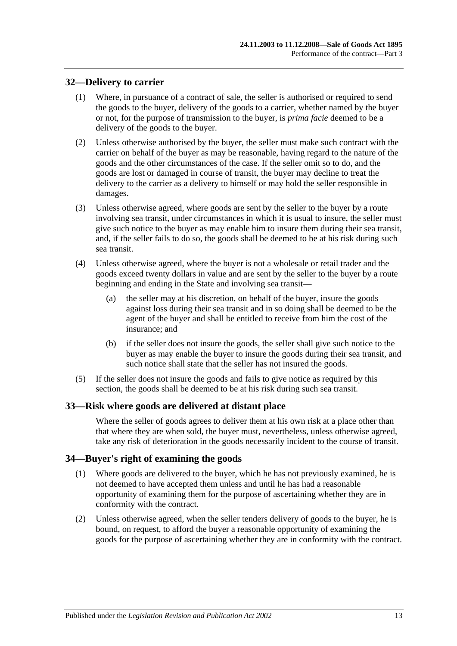#### <span id="page-12-0"></span>**32—Delivery to carrier**

- (1) Where, in pursuance of a contract of sale, the seller is authorised or required to send the goods to the buyer, delivery of the goods to a carrier, whether named by the buyer or not, for the purpose of transmission to the buyer, is *prima facie* deemed to be a delivery of the goods to the buyer.
- (2) Unless otherwise authorised by the buyer, the seller must make such contract with the carrier on behalf of the buyer as may be reasonable, having regard to the nature of the goods and the other circumstances of the case. If the seller omit so to do, and the goods are lost or damaged in course of transit, the buyer may decline to treat the delivery to the carrier as a delivery to himself or may hold the seller responsible in damages.
- (3) Unless otherwise agreed, where goods are sent by the seller to the buyer by a route involving sea transit, under circumstances in which it is usual to insure, the seller must give such notice to the buyer as may enable him to insure them during their sea transit, and, if the seller fails to do so, the goods shall be deemed to be at his risk during such sea transit.
- (4) Unless otherwise agreed, where the buyer is not a wholesale or retail trader and the goods exceed twenty dollars in value and are sent by the seller to the buyer by a route beginning and ending in the State and involving sea transit—
	- (a) the seller may at his discretion, on behalf of the buyer, insure the goods against loss during their sea transit and in so doing shall be deemed to be the agent of the buyer and shall be entitled to receive from him the cost of the insurance; and
	- (b) if the seller does not insure the goods, the seller shall give such notice to the buyer as may enable the buyer to insure the goods during their sea transit, and such notice shall state that the seller has not insured the goods.
- (5) If the seller does not insure the goods and fails to give notice as required by this section, the goods shall be deemed to be at his risk during such sea transit.

#### <span id="page-12-1"></span>**33—Risk where goods are delivered at distant place**

Where the seller of goods agrees to deliver them at his own risk at a place other than that where they are when sold, the buyer must, nevertheless, unless otherwise agreed, take any risk of deterioration in the goods necessarily incident to the course of transit.

#### <span id="page-12-2"></span>**34—Buyer's right of examining the goods**

- (1) Where goods are delivered to the buyer, which he has not previously examined, he is not deemed to have accepted them unless and until he has had a reasonable opportunity of examining them for the purpose of ascertaining whether they are in conformity with the contract.
- (2) Unless otherwise agreed, when the seller tenders delivery of goods to the buyer, he is bound, on request, to afford the buyer a reasonable opportunity of examining the goods for the purpose of ascertaining whether they are in conformity with the contract.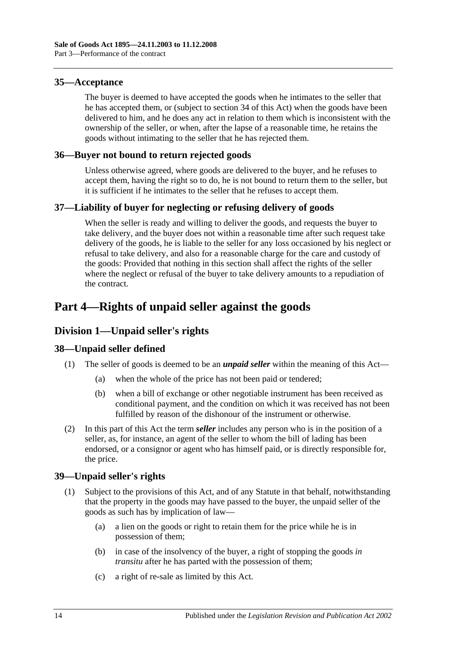#### <span id="page-13-0"></span>**35—Acceptance**

The buyer is deemed to have accepted the goods when he intimates to the seller that he has accepted them, or (subject to [section](#page-12-2) 34 of this Act) when the goods have been delivered to him, and he does any act in relation to them which is inconsistent with the ownership of the seller, or when, after the lapse of a reasonable time, he retains the goods without intimating to the seller that he has rejected them.

### <span id="page-13-1"></span>**36—Buyer not bound to return rejected goods**

Unless otherwise agreed, where goods are delivered to the buyer, and he refuses to accept them, having the right so to do, he is not bound to return them to the seller, but it is sufficient if he intimates to the seller that he refuses to accept them.

### <span id="page-13-2"></span>**37—Liability of buyer for neglecting or refusing delivery of goods**

When the seller is ready and willing to deliver the goods, and requests the buyer to take delivery, and the buyer does not within a reasonable time after such request take delivery of the goods, he is liable to the seller for any loss occasioned by his neglect or refusal to take delivery, and also for a reasonable charge for the care and custody of the goods: Provided that nothing in this section shall affect the rights of the seller where the neglect or refusal of the buyer to take delivery amounts to a repudiation of the contract.

## <span id="page-13-3"></span>**Part 4—Rights of unpaid seller against the goods**

## <span id="page-13-4"></span>**Division 1—Unpaid seller's rights**

#### <span id="page-13-5"></span>**38—Unpaid seller defined**

- (1) The seller of goods is deemed to be an *unpaid seller* within the meaning of this Act—
	- (a) when the whole of the price has not been paid or tendered;
	- (b) when a bill of exchange or other negotiable instrument has been received as conditional payment, and the condition on which it was received has not been fulfilled by reason of the dishonour of the instrument or otherwise.
- (2) In this part of this Act the term *seller* includes any person who is in the position of a seller, as, for instance, an agent of the seller to whom the bill of lading has been endorsed, or a consignor or agent who has himself paid, or is directly responsible for, the price.

### <span id="page-13-6"></span>**39—Unpaid seller's rights**

- (1) Subject to the provisions of this Act, and of any Statute in that behalf, notwithstanding that the property in the goods may have passed to the buyer, the unpaid seller of the goods as such has by implication of law—
	- (a) a lien on the goods or right to retain them for the price while he is in possession of them;
	- (b) in case of the insolvency of the buyer, a right of stopping the goods *in transitu* after he has parted with the possession of them:
	- (c) a right of re-sale as limited by this Act.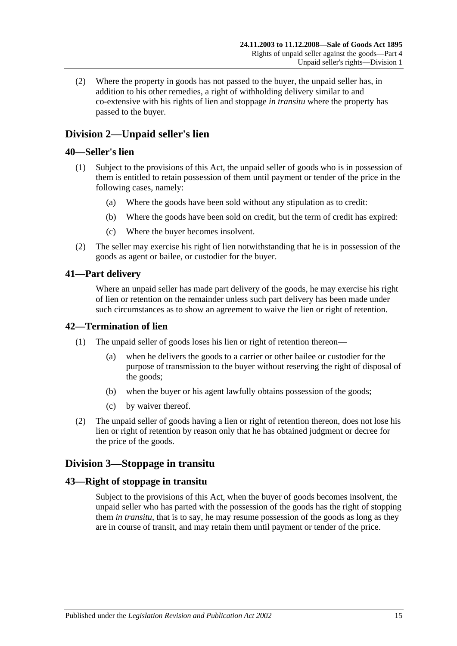(2) Where the property in goods has not passed to the buyer, the unpaid seller has, in addition to his other remedies, a right of withholding delivery similar to and co-extensive with his rights of lien and stoppage *in transitu* where the property has passed to the buyer.

## <span id="page-14-0"></span>**Division 2—Unpaid seller's lien**

#### <span id="page-14-1"></span>**40—Seller's lien**

- (1) Subject to the provisions of this Act, the unpaid seller of goods who is in possession of them is entitled to retain possession of them until payment or tender of the price in the following cases, namely:
	- (a) Where the goods have been sold without any stipulation as to credit:
	- (b) Where the goods have been sold on credit, but the term of credit has expired:
	- (c) Where the buyer becomes insolvent.
- (2) The seller may exercise his right of lien notwithstanding that he is in possession of the goods as agent or bailee, or custodier for the buyer.

### <span id="page-14-2"></span>**41—Part delivery**

Where an unpaid seller has made part delivery of the goods, he may exercise his right of lien or retention on the remainder unless such part delivery has been made under such circumstances as to show an agreement to waive the lien or right of retention.

#### <span id="page-14-3"></span>**42—Termination of lien**

- (1) The unpaid seller of goods loses his lien or right of retention thereon—
	- (a) when he delivers the goods to a carrier or other bailee or custodier for the purpose of transmission to the buyer without reserving the right of disposal of the goods;
	- (b) when the buyer or his agent lawfully obtains possession of the goods;
	- (c) by waiver thereof.
- (2) The unpaid seller of goods having a lien or right of retention thereon, does not lose his lien or right of retention by reason only that he has obtained judgment or decree for the price of the goods.

### <span id="page-14-4"></span>**Division 3—Stoppage in transitu**

### <span id="page-14-5"></span>**43—Right of stoppage in transitu**

Subject to the provisions of this Act, when the buyer of goods becomes insolvent, the unpaid seller who has parted with the possession of the goods has the right of stopping them *in transitu*, that is to say, he may resume possession of the goods as long as they are in course of transit, and may retain them until payment or tender of the price.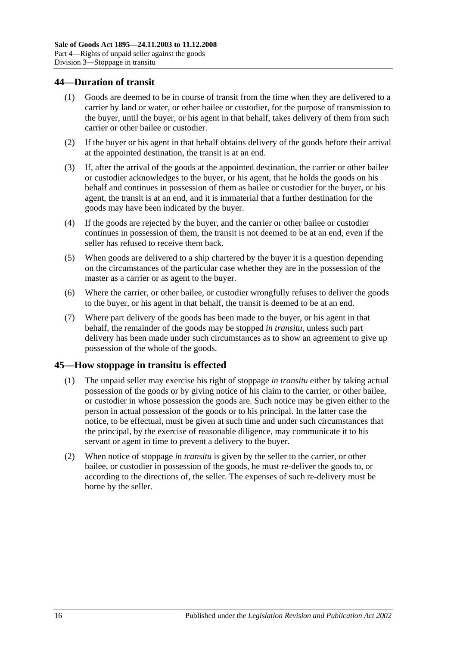#### <span id="page-15-0"></span>**44—Duration of transit**

- (1) Goods are deemed to be in course of transit from the time when they are delivered to a carrier by land or water, or other bailee or custodier, for the purpose of transmission to the buyer, until the buyer, or his agent in that behalf, takes delivery of them from such carrier or other bailee or custodier.
- (2) If the buyer or his agent in that behalf obtains delivery of the goods before their arrival at the appointed destination, the transit is at an end.
- (3) If, after the arrival of the goods at the appointed destination, the carrier or other bailee or custodier acknowledges to the buyer, or his agent, that he holds the goods on his behalf and continues in possession of them as bailee or custodier for the buyer, or his agent, the transit is at an end, and it is immaterial that a further destination for the goods may have been indicated by the buyer.
- (4) If the goods are rejected by the buyer, and the carrier or other bailee or custodier continues in possession of them, the transit is not deemed to be at an end, even if the seller has refused to receive them back.
- (5) When goods are delivered to a ship chartered by the buyer it is a question depending on the circumstances of the particular case whether they are in the possession of the master as a carrier or as agent to the buyer.
- (6) Where the carrier, or other bailee, or custodier wrongfully refuses to deliver the goods to the buyer, or his agent in that behalf, the transit is deemed to be at an end.
- (7) Where part delivery of the goods has been made to the buyer, or his agent in that behalf, the remainder of the goods may be stopped *in transitu*, unless such part delivery has been made under such circumstances as to show an agreement to give up possession of the whole of the goods.

#### <span id="page-15-1"></span>**45—How stoppage in transitu is effected**

- (1) The unpaid seller may exercise his right of stoppage *in transitu* either by taking actual possession of the goods or by giving notice of his claim to the carrier, or other bailee, or custodier in whose possession the goods are. Such notice may be given either to the person in actual possession of the goods or to his principal. In the latter case the notice, to be effectual, must be given at such time and under such circumstances that the principal, by the exercise of reasonable diligence, may communicate it to his servant or agent in time to prevent a delivery to the buyer.
- (2) When notice of stoppage *in transitu* is given by the seller to the carrier, or other bailee, or custodier in possession of the goods, he must re-deliver the goods to, or according to the directions of, the seller. The expenses of such re-delivery must be borne by the seller.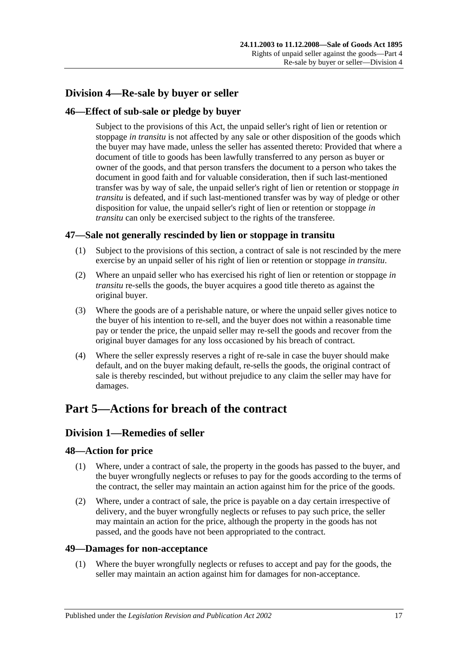## <span id="page-16-0"></span>**Division 4—Re-sale by buyer or seller**

### <span id="page-16-1"></span>**46—Effect of sub-sale or pledge by buyer**

Subject to the provisions of this Act, the unpaid seller's right of lien or retention or stoppage *in transitu* is not affected by any sale or other disposition of the goods which the buyer may have made, unless the seller has assented thereto: Provided that where a document of title to goods has been lawfully transferred to any person as buyer or owner of the goods, and that person transfers the document to a person who takes the document in good faith and for valuable consideration, then if such last-mentioned transfer was by way of sale, the unpaid seller's right of lien or retention or stoppage *in transitu* is defeated, and if such last-mentioned transfer was by way of pledge or other disposition for value, the unpaid seller's right of lien or retention or stoppage *in transitu* can only be exercised subject to the rights of the transferee.

### <span id="page-16-2"></span>**47—Sale not generally rescinded by lien or stoppage in transitu**

- (1) Subject to the provisions of this section, a contract of sale is not rescinded by the mere exercise by an unpaid seller of his right of lien or retention or stoppage *in transitu*.
- (2) Where an unpaid seller who has exercised his right of lien or retention or stoppage *in transitu* re-sells the goods, the buyer acquires a good title thereto as against the original buyer.
- (3) Where the goods are of a perishable nature, or where the unpaid seller gives notice to the buyer of his intention to re-sell, and the buyer does not within a reasonable time pay or tender the price, the unpaid seller may re-sell the goods and recover from the original buyer damages for any loss occasioned by his breach of contract.
- (4) Where the seller expressly reserves a right of re-sale in case the buyer should make default, and on the buyer making default, re-sells the goods, the original contract of sale is thereby rescinded, but without prejudice to any claim the seller may have for damages.

## <span id="page-16-3"></span>**Part 5—Actions for breach of the contract**

### <span id="page-16-4"></span>**Division 1—Remedies of seller**

#### <span id="page-16-5"></span>**48—Action for price**

- (1) Where, under a contract of sale, the property in the goods has passed to the buyer, and the buyer wrongfully neglects or refuses to pay for the goods according to the terms of the contract, the seller may maintain an action against him for the price of the goods.
- (2) Where, under a contract of sale, the price is payable on a day certain irrespective of delivery, and the buyer wrongfully neglects or refuses to pay such price, the seller may maintain an action for the price, although the property in the goods has not passed, and the goods have not been appropriated to the contract.

#### <span id="page-16-6"></span>**49—Damages for non-acceptance**

(1) Where the buyer wrongfully neglects or refuses to accept and pay for the goods, the seller may maintain an action against him for damages for non-acceptance.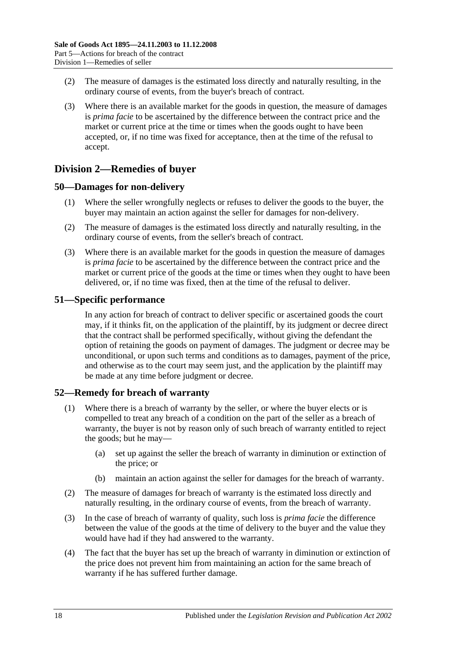- (2) The measure of damages is the estimated loss directly and naturally resulting, in the ordinary course of events, from the buyer's breach of contract.
- (3) Where there is an available market for the goods in question, the measure of damages is *prima facie* to be ascertained by the difference between the contract price and the market or current price at the time or times when the goods ought to have been accepted, or, if no time was fixed for acceptance, then at the time of the refusal to accept.

## <span id="page-17-0"></span>**Division 2—Remedies of buyer**

#### <span id="page-17-1"></span>**50—Damages for non-delivery**

- (1) Where the seller wrongfully neglects or refuses to deliver the goods to the buyer, the buyer may maintain an action against the seller for damages for non-delivery.
- (2) The measure of damages is the estimated loss directly and naturally resulting, in the ordinary course of events, from the seller's breach of contract.
- (3) Where there is an available market for the goods in question the measure of damages is *prima facie* to be ascertained by the difference between the contract price and the market or current price of the goods at the time or times when they ought to have been delivered, or, if no time was fixed, then at the time of the refusal to deliver.

#### <span id="page-17-2"></span>**51—Specific performance**

In any action for breach of contract to deliver specific or ascertained goods the court may, if it thinks fit, on the application of the plaintiff, by its judgment or decree direct that the contract shall be performed specifically, without giving the defendant the option of retaining the goods on payment of damages. The judgment or decree may be unconditional, or upon such terms and conditions as to damages, payment of the price, and otherwise as to the court may seem just, and the application by the plaintiff may be made at any time before judgment or decree.

#### <span id="page-17-3"></span>**52—Remedy for breach of warranty**

- (1) Where there is a breach of warranty by the seller, or where the buyer elects or is compelled to treat any breach of a condition on the part of the seller as a breach of warranty, the buyer is not by reason only of such breach of warranty entitled to reject the goods; but he may—
	- (a) set up against the seller the breach of warranty in diminution or extinction of the price; or
	- (b) maintain an action against the seller for damages for the breach of warranty.
- (2) The measure of damages for breach of warranty is the estimated loss directly and naturally resulting, in the ordinary course of events, from the breach of warranty.
- (3) In the case of breach of warranty of quality, such loss is *prima facie* the difference between the value of the goods at the time of delivery to the buyer and the value they would have had if they had answered to the warranty.
- (4) The fact that the buyer has set up the breach of warranty in diminution or extinction of the price does not prevent him from maintaining an action for the same breach of warranty if he has suffered further damage.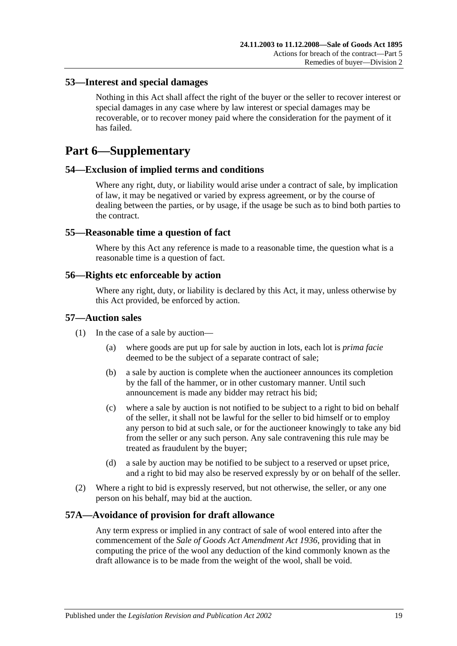#### <span id="page-18-0"></span>**53—Interest and special damages**

Nothing in this Act shall affect the right of the buyer or the seller to recover interest or special damages in any case where by law interest or special damages may be recoverable, or to recover money paid where the consideration for the payment of it has failed.

## <span id="page-18-1"></span>**Part 6—Supplementary**

#### <span id="page-18-2"></span>**54—Exclusion of implied terms and conditions**

Where any right, duty, or liability would arise under a contract of sale, by implication of law, it may be negatived or varied by express agreement, or by the course of dealing between the parties, or by usage, if the usage be such as to bind both parties to the contract.

#### <span id="page-18-3"></span>**55—Reasonable time a question of fact**

Where by this Act any reference is made to a reasonable time, the question what is a reasonable time is a question of fact.

#### <span id="page-18-4"></span>**56—Rights etc enforceable by action**

Where any right, duty, or liability is declared by this Act, it may, unless otherwise by this Act provided, be enforced by action.

#### <span id="page-18-5"></span>**57—Auction sales**

- (1) In the case of a sale by auction—
	- (a) where goods are put up for sale by auction in lots, each lot is *prima facie* deemed to be the subject of a separate contract of sale;
	- (b) a sale by auction is complete when the auctioneer announces its completion by the fall of the hammer, or in other customary manner. Until such announcement is made any bidder may retract his bid;
	- (c) where a sale by auction is not notified to be subject to a right to bid on behalf of the seller, it shall not be lawful for the seller to bid himself or to employ any person to bid at such sale, or for the auctioneer knowingly to take any bid from the seller or any such person. Any sale contravening this rule may be treated as fraudulent by the buyer;
	- (d) a sale by auction may be notified to be subject to a reserved or upset price, and a right to bid may also be reserved expressly by or on behalf of the seller.
- (2) Where a right to bid is expressly reserved, but not otherwise, the seller, or any one person on his behalf, may bid at the auction.

#### <span id="page-18-6"></span>**57A—Avoidance of provision for draft allowance**

Any term express or implied in any contract of sale of wool entered into after the commencement of the *[Sale of Goods Act Amendment Act](http://www.legislation.sa.gov.au/index.aspx?action=legref&type=act&legtitle=Sale%20of%20Goods%20Act%20Amendment%20Act%201936) 1936*, providing that in computing the price of the wool any deduction of the kind commonly known as the draft allowance is to be made from the weight of the wool, shall be void.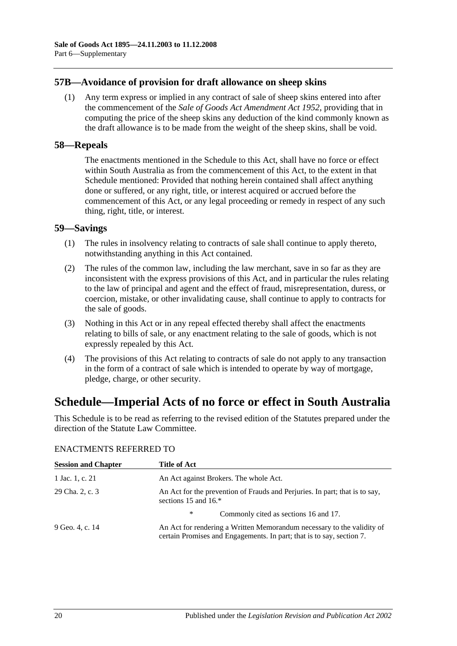#### <span id="page-19-0"></span>**57B—Avoidance of provision for draft allowance on sheep skins**

(1) Any term express or implied in any contract of sale of sheep skins entered into after the commencement of the *[Sale of Goods Act Amendment Act](http://www.legislation.sa.gov.au/index.aspx?action=legref&type=act&legtitle=Sale%20of%20Goods%20Act%20Amendment%20Act%201952) 1952*, providing that in computing the price of the sheep skins any deduction of the kind commonly known as the draft allowance is to be made from the weight of the sheep skins, shall be void.

#### <span id="page-19-1"></span>**58—Repeals**

The enactments mentioned in the [Schedule](#page-19-3) to this Act, shall have no force or effect within South Australia as from the commencement of this Act, to the extent in that [Schedule](#page-19-3) mentioned: Provided that nothing herein contained shall affect anything done or suffered, or any right, title, or interest acquired or accrued before the commencement of this Act, or any legal proceeding or remedy in respect of any such thing, right, title, or interest.

#### <span id="page-19-2"></span>**59—Savings**

- (1) The rules in insolvency relating to contracts of sale shall continue to apply thereto, notwithstanding anything in this Act contained.
- (2) The rules of the common law, including the law merchant, save in so far as they are inconsistent with the express provisions of this Act, and in particular the rules relating to the law of principal and agent and the effect of fraud, misrepresentation, duress, or coercion, mistake, or other invalidating cause, shall continue to apply to contracts for the sale of goods.
- (3) Nothing in this Act or in any repeal effected thereby shall affect the enactments relating to bills of sale, or any enactment relating to the sale of goods, which is not expressly repealed by this Act.
- (4) The provisions of this Act relating to contracts of sale do not apply to any transaction in the form of a contract of sale which is intended to operate by way of mortgage, pledge, charge, or other security.

## <span id="page-19-3"></span>**Schedule—Imperial Acts of no force or effect in South Australia**

This Schedule is to be read as referring to the revised edition of the Statutes prepared under the direction of the Statute Law Committee.

| <b>Session and Chapter</b> | Title of Act                                                                                                                                    |  |  |
|----------------------------|-------------------------------------------------------------------------------------------------------------------------------------------------|--|--|
| 1 Jac. 1, c. 21            | An Act against Brokers. The whole Act.                                                                                                          |  |  |
| 29 Cha. 2, c. 3            | An Act for the prevention of Frauds and Perjuries. In part; that is to say,<br>sections 15 and $16.*$                                           |  |  |
|                            | ∗<br>Commonly cited as sections 16 and 17.                                                                                                      |  |  |
| 9 Geo. 4, c. 14            | An Act for rendering a Written Memorandum necessary to the validity of<br>certain Promises and Engagements. In part; that is to say, section 7. |  |  |

#### ENACTMENTS REFERRED TO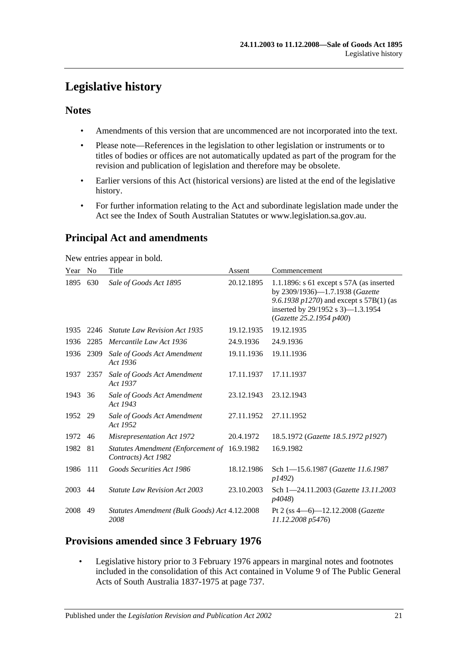## <span id="page-20-0"></span>**Legislative history**

### **Notes**

- Amendments of this version that are uncommenced are not incorporated into the text.
- Please note—References in the legislation to other legislation or instruments or to titles of bodies or offices are not automatically updated as part of the program for the revision and publication of legislation and therefore may be obsolete.
- Earlier versions of this Act (historical versions) are listed at the end of the legislative history.
- For further information relating to the Act and subordinate legislation made under the Act see the Index of South Australian Statutes or www.legislation.sa.gov.au.

## **Principal Act and amendments**

New entries appear in bold.

| Year | N <sub>0</sub> | Title                                                     | Assent     | Commencement                                                                                                                                                                                  |
|------|----------------|-----------------------------------------------------------|------------|-----------------------------------------------------------------------------------------------------------------------------------------------------------------------------------------------|
| 1895 | 630            | Sale of Goods Act 1895                                    | 20.12.1895 | $1.1.1896$ : s 61 except s 57A (as inserted<br>by 2309/1936)-1.7.1938 (Gazette<br>9.6.1938 $p1270$ ) and except s 57B(1) (as<br>inserted by 29/1952 s 3)-1.3.1954<br>(Gazette 25.2.1954 p400) |
| 1935 | 2246           | <b>Statute Law Revision Act 1935</b>                      | 19.12.1935 | 19.12.1935                                                                                                                                                                                    |
| 1936 | 2285           | Mercantile Law Act 1936                                   | 24.9.1936  | 24.9.1936                                                                                                                                                                                     |
| 1936 | 2309           | Sale of Goods Act Amendment<br>Act 1936                   | 19.11.1936 | 19.11.1936                                                                                                                                                                                    |
| 1937 | 2357           | Sale of Goods Act Amendment<br>Act 1937                   | 17.11.1937 | 17.11.1937                                                                                                                                                                                    |
| 1943 | 36             | Sale of Goods Act Amendment<br>Act 1943                   | 23.12.1943 | 23.12.1943                                                                                                                                                                                    |
| 1952 | 29             | Sale of Goods Act Amendment<br>Act 1952                   | 27.11.1952 | 27.11.1952                                                                                                                                                                                    |
| 1972 | 46             | Misrepresentation Act 1972                                | 20.4.1972  | 18.5.1972 (Gazette 18.5.1972 p1927)                                                                                                                                                           |
| 1982 | 81             | Statutes Amendment (Enforcement of<br>Contracts) Act 1982 | 16.9.1982  | 16.9.1982                                                                                                                                                                                     |
| 1986 | 111            | Goods Securities Act 1986                                 | 18.12.1986 | Sch 1-15.6.1987 (Gazette 11.6.1987<br>p1492)                                                                                                                                                  |
| 2003 | 44             | <i>Statute Law Revision Act 2003</i>                      | 23.10.2003 | Sch 1–24.11.2003 ( <i>Gazette 13.11.2003</i><br>p4048)                                                                                                                                        |
| 2008 | 49             | Statutes Amendment (Bulk Goods) Act 4.12.2008<br>2008     |            | Pt 2 (ss $4-6$ )-12.12.2008 ( <i>Gazette</i><br>11.12.2008 p5476)                                                                                                                             |

### **Provisions amended since 3 February 1976**

• Legislative history prior to 3 February 1976 appears in marginal notes and footnotes included in the consolidation of this Act contained in Volume 9 of The Public General Acts of South Australia 1837-1975 at page 737.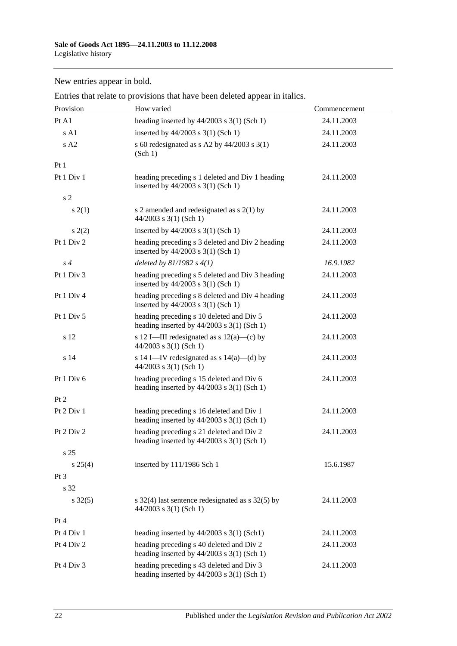New entries appear in bold.

| Provision       | How varied                                                                                 | Commencement |
|-----------------|--------------------------------------------------------------------------------------------|--------------|
| Pt A1           | heading inserted by $44/2003$ s 3(1) (Sch 1)                                               | 24.11.2003   |
| sA1             | inserted by $44/2003$ s 3(1) (Sch 1)                                                       | 24.11.2003   |
| sA2             | s 60 redesignated as s A2 by $44/2003$ s 3(1)<br>(Sch 1)                                   | 24.11.2003   |
| Pt1             |                                                                                            |              |
| Pt 1 Div 1      | heading preceding s 1 deleted and Div 1 heading<br>inserted by 44/2003 s 3(1) (Sch 1)      | 24.11.2003   |
| s <sub>2</sub>  |                                                                                            |              |
| s(2(1))         | s 2 amended and redesignated as $s$ 2(1) by<br>$44/2003$ s 3(1) (Sch 1)                    | 24.11.2003   |
| s(2)            | inserted by $44/2003$ s 3(1) (Sch 1)                                                       | 24.11.2003   |
| Pt 1 Div 2      | heading preceding s 3 deleted and Div 2 heading<br>inserted by 44/2003 s 3(1) (Sch 1)      | 24.11.2003   |
| s <sub>4</sub>  | deleted by $81/1982 s 4(1)$                                                                | 16.9.1982    |
| Pt 1 Div 3      | heading preceding s 5 deleted and Div 3 heading<br>inserted by 44/2003 s 3(1) (Sch 1)      | 24.11.2003   |
| Pt 1 Div 4      | heading preceding s 8 deleted and Div 4 heading<br>inserted by 44/2003 s 3(1) (Sch 1)      | 24.11.2003   |
| Pt 1 Div 5      | heading preceding s 10 deleted and Div 5<br>heading inserted by $44/2003$ s 3(1) (Sch 1)   | 24.11.2003   |
| s 12            | s 12 I—III redesignated as s $12(a)$ —(c) by<br>44/2003 s 3(1) (Sch 1)                     | 24.11.2003   |
| s 14            | s 14 I—IV redesignated as $s$ 14(a)—(d) by<br>$44/2003$ s 3(1) (Sch 1)                     | 24.11.2003   |
| Pt 1 Div 6      | heading preceding s 15 deleted and Div 6<br>heading inserted by $44/2003$ s 3(1) (Sch 1)   | 24.11.2003   |
| Pt 2            |                                                                                            |              |
| Pt 2 Div 1      | heading preceding s 16 deleted and Div 1<br>heading inserted by $44/2003$ s $3(1)$ (Sch 1) | 24.11.2003   |
| Pt 2 Div 2      | heading preceding s 21 deleted and Div 2<br>heading inserted by $44/2003$ s 3(1) (Sch 1)   | 24.11.2003   |
| s <sub>25</sub> |                                                                                            |              |
| $s\,25(4)$      | inserted by 111/1986 Sch 1                                                                 | 15.6.1987    |
| $Pt\,3$         |                                                                                            |              |
| s 32            |                                                                                            |              |
| $s \, 32(5)$    | s $32(4)$ last sentence redesignated as s $32(5)$ by<br>$44/2003$ s 3(1) (Sch 1)           | 24.11.2003   |
| Pt 4            |                                                                                            |              |
| Pt 4 Div 1      | heading inserted by $44/2003$ s 3(1) (Sch1)                                                | 24.11.2003   |
| Pt 4 Div 2      | heading preceding s 40 deleted and Div 2<br>heading inserted by $44/2003$ s 3(1) (Sch 1)   | 24.11.2003   |
| Pt 4 Div 3      | heading preceding s 43 deleted and Div 3<br>heading inserted by $44/2003$ s 3(1) (Sch 1)   | 24.11.2003   |

Entries that relate to provisions that have been deleted appear in italics.